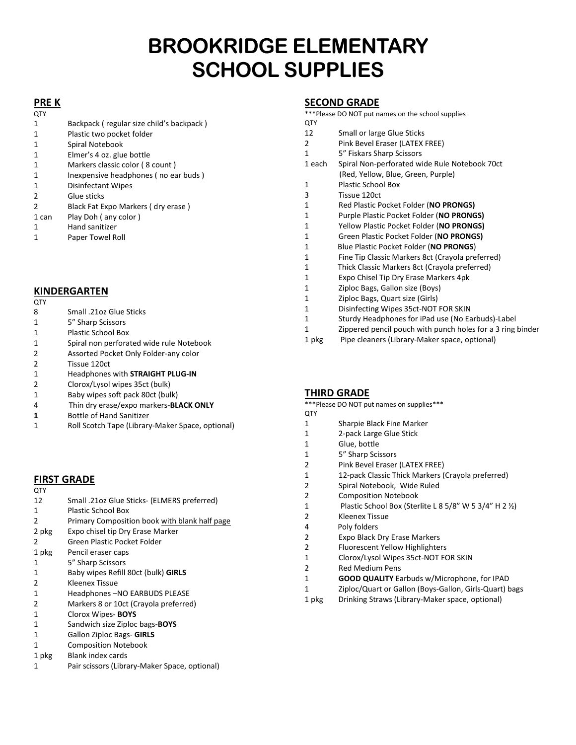# **BROOKRIDGE ELEMENTARY SCHOOL SUPPLIES**

# **PRE K**

| <b>QTY</b>     |                                          |
|----------------|------------------------------------------|
| 1              | Backpack (regular size child's backpack) |
| 1              | Plastic two pocket folder                |
| 1              | Spiral Notebook                          |
| 1              | Elmer's 4 oz. glue bottle                |
| 1              | Markers classic color (8 count)          |
| 1              | Inexpensive headphones (no ear buds)     |
| 1              | Disinfectant Wipes                       |
| $\overline{2}$ | Glue sticks                              |
| $\overline{2}$ | Black Fat Expo Markers (dry erase)       |
| 1 can          | Play Doh (any color)                     |
| 1              | Hand sanitizer                           |
| 1              | Paper Towel Roll                         |
|                |                                          |

# **KINDERGARTEN**

- **QTY**
- Small .21oz Glue Sticks
- 5" Sharp Scissors
- Plastic School Box
- Spiral non perforated wide rule Notebook
- Assorted Pocket Only Folder-any color
- Tissue 120ct
- Headphones with **STRAIGHT PLUG-IN**
- Clorox/Lysol wipes 35ct (bulk)
- Baby wipes soft pack 80ct (bulk)
- 4 Thin dry erase/expo markers-**BLACK ONLY**
- Bottle of Hand Sanitizer
- Roll Scotch Tape (Library-Maker Space, optional)

# **FIRST GRADE**

- **QTY**
- Small .21oz Glue Sticks- (ELMERS preferred)
- Plastic School Box
- Primary Composition book with blank half page
- 2 pkg Expo chisel tip Dry Erase Marker
- Green Plastic Pocket Folder
- 1 pkg Pencil eraser caps
- 5" Sharp Scissors
- Baby wipes Refill 80ct (bulk) **GIRLS**
- Kleenex Tissue
- Headphones –NO EARBUDS PLEASE
- Markers 8 or 10ct (Crayola preferred)
- Clorox Wipes- **BOYS**
- Sandwich size Ziploc bags-**BOYS**
- Gallon Ziploc Bags- **GIRLS**
- Composition Notebook
- 1 pkg Blank index cards
- Pair scissors (Library-Maker Space, optional)

#### **SECOND GRADE**

\*\*\*Please DO NOT put names on the school supplies **OTY** 

- 12 Small or large Glue Sticks Pink Bevel Eraser (LATEX FREE) 5" Fiskars Sharp Scissors 1 each Spiral Non-perforated wide Rule Notebook 70ct (Red, Yellow, Blue, Green, Purple) Plastic School Box Tissue 120ct Red Plastic Pocket Folder (**NO PRONGS)** Purple Plastic Pocket Folder (**NO PRONGS)** Yellow Plastic Pocket Folder (**NO PRONGS)** Green Plastic Pocket Folder (**NO PRONGS)** 1 Blue Plastic Pocket Folder (**NO PRONGS**) Fine Tip Classic Markers 8ct (Crayola preferred) 1 Thick Classic Markers 8ct (Crayola preferred) Expo Chisel Tip Dry Erase Markers 4pk Ziploc Bags, Gallon size (Boys) Ziploc Bags, Quart size (Girls) Disinfecting Wipes 35ct-NOT FOR SKIN
	- Sturdy Headphones for iPad use (No Earbuds)-Label
	- Zippered pencil pouch with punch holes for a 3 ring binder
	- pkg Pipe cleaners (Library-Maker space, optional)

# **THIRD GRADE**

\*\*\*Please DO NOT put names on supplies\*\*\*

- QTY
- Sharpie Black Fine Marker
- 2-pack Large Glue Stick
- Glue, bottle
- 5" Sharp Scissors
- Pink Bevel Eraser (LATEX FREE)
- 12-pack Classic Thick Markers (Crayola preferred)
- Spiral Notebook, Wide Ruled
- Composition Notebook
- Plastic School Box (Sterlite L 8 5/8" W 5 3/4" H 2 ½)
- Kleenex Tissue
- 4 Poly folders
	- Expo Black Dry Erase Markers
	- Fluorescent Yellow Highlighters
	- Clorox/Lysol Wipes 35ct-NOT FOR SKIN
	- Red Medium Pens
	- **GOOD QUALITY** Earbuds w/Microphone, for IPAD
	- Ziploc/Quart or Gallon (Boys-Gallon, Girls-Quart) bags
	- 1 pkg Drinking Straws (Library-Maker space, optional)